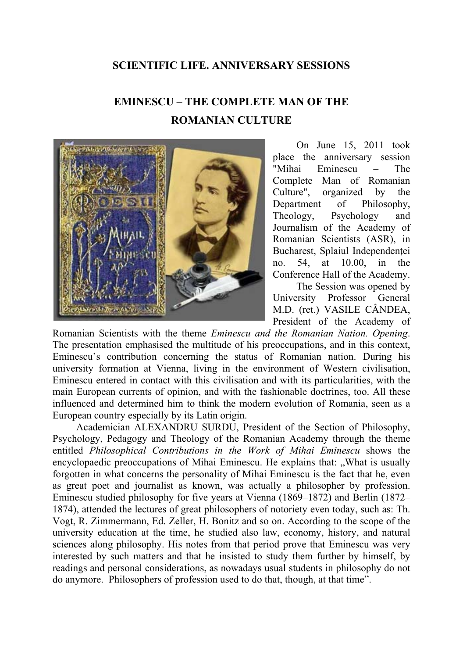## **SCIENTIFIC LIFE. ANNIVERSARY SESSIONS**

## **EMINESCU – THE COMPLETE MAN OF THE ROMANIAN CULTURE**



On June 15, 2011 took place the anniversary session "Mihai Eminescu – The Complete Man of Romanian Culture", organized by the Department of Philosophy, Theology, Psychology and Journalism of the Academy of Romanian Scientists (ASR), in Bucharest, Splaiul Independentei no. 54, at 10.00, in the Conference Hall of the Academy.

The Session was opened by University Professor General M.D. (ret.) VASILE CÂNDEA, President of the Academy of

Romanian Scientists with the theme *Eminescu and the Romanian Nation. Opening*. The presentation emphasised the multitude of his preoccupations, and in this context, Eminescu's contribution concerning the status of Romanian nation. During his university formation at Vienna, living in the environment of Western civilisation, Eminescu entered in contact with this civilisation and with its particularities, with the main European currents of opinion, and with the fashionable doctrines, too. All these influenced and determined him to think the modern evolution of Romania, seen as a European country especially by its Latin origin.

Academician ALEXANDRU SURDU, President of the Section of Philosophy, Psychology, Pedagogy and Theology of the Romanian Academy through the theme entitled *Philosophical Contributions in the Work of Mihai Eminescu* shows the encyclopaedic preoccupations of Mihai Eminescu. He explains that: ., What is usually forgotten in what concerns the personality of Mihai Eminescu is the fact that he, even as great poet and journalist as known, was actually a philosopher by profession. Eminescu studied philosophy for five years at Vienna (1869–1872) and Berlin (1872– 1874), attended the lectures of great philosophers of notoriety even today, such as: Th. Vogt, R. Zimmermann, Ed. Zeller, H. Bonitz and so on. According to the scope of the university education at the time, he studied also law, economy, history, and natural sciences along philosophy. His notes from that period prove that Eminescu was very interested by such matters and that he insisted to study them further by himself, by readings and personal considerations, as nowadays usual students in philosophy do not do anymore. Philosophers of profession used to do that, though, at that time".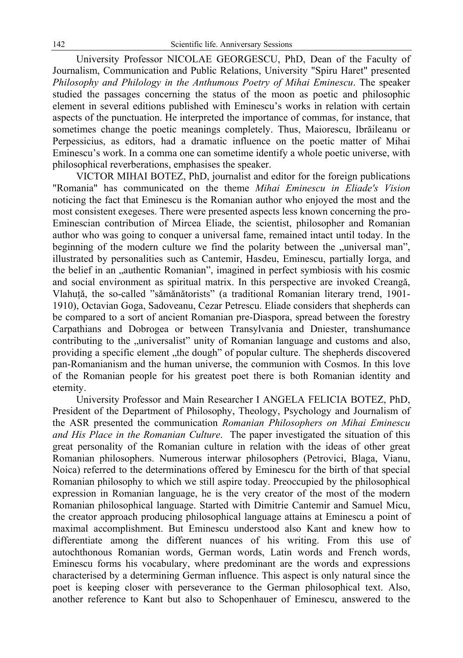University Professor NICOLAE GEORGESCU, PhD, Dean of the Faculty of Journalism, Communication and Public Relations, University "Spiru Haret" presented *Philosophy and Philology in the Anthumous Poetry of Mihai Eminescu*. The speaker studied the passages concerning the status of the moon as poetic and philosophic element in several editions published with Eminescu's works in relation with certain aspects of the punctuation. He interpreted the importance of commas, for instance, that sometimes change the poetic meanings completely. Thus, Maiorescu, Ibrăileanu or Perpessicius, as editors, had a dramatic influence on the poetic matter of Mihai Eminescu's work. In a comma one can sometime identify a whole poetic universe, with philosophical reverberations, emphasises the speaker.

VICTOR MIHAI BOTEZ, PhD, journalist and editor for the foreign publications "Romania" has communicated on the theme *Mihai Eminescu in Eliade's Vision* noticing the fact that Eminescu is the Romanian author who enjoyed the most and the most consistent exegeses. There were presented aspects less known concerning the pro-Eminescian contribution of Mircea Eliade, the scientist, philosopher and Romanian author who was going to conquer a universal fame, remained intact until today. In the beginning of the modern culture we find the polarity between the "universal man", illustrated by personalities such as Cantemir, Hasdeu, Eminescu, partially Iorga, and the belief in an <sub>v</sub>authentic Romanian", imagined in perfect symbiosis with his cosmic and social environment as spiritual matrix. In this perspective are invoked Creangă, Vlahuţă, the so-called "sămănătorists" (a traditional Romanian literary trend, 1901- 1910), Octavian Goga, Sadoveanu, Cezar Petrescu. Eliade considers that shepherds can be compared to a sort of ancient Romanian pre-Diaspora, spread between the forestry Carpathians and Dobrogea or between Transylvania and Dniester, transhumance contributing to the "universalist" unity of Romanian language and customs and also, providing a specific element "the dough" of popular culture. The shepherds discovered pan-Romanianism and the human universe, the communion with Cosmos. In this love of the Romanian people for his greatest poet there is both Romanian identity and eternity.

University Professor and Main Researcher I ANGELA FELICIA BOTEZ, PhD, President of the Department of Philosophy, Theology, Psychology and Journalism of the ASR presented the communication *Romanian Philosophers on Mihai Eminescu and His Place in the Romanian Culture*. The paper investigated the situation of this great personality of the Romanian culture in relation with the ideas of other great Romanian philosophers. Numerous interwar philosophers (Petrovici, Blaga, Vianu, Noica) referred to the determinations offered by Eminescu for the birth of that special Romanian philosophy to which we still aspire today. Preoccupied by the philosophical expression in Romanian language, he is the very creator of the most of the modern Romanian philosophical language. Started with Dimitrie Cantemir and Samuel Micu, the creator approach producing philosophical language attains at Eminescu a point of maximal accomplishment. But Eminescu understood also Kant and knew how to differentiate among the different nuances of his writing. From this use of autochthonous Romanian words, German words, Latin words and French words, Eminescu forms his vocabulary, where predominant are the words and expressions characterised by a determining German influence. This aspect is only natural since the poet is keeping closer with perseverance to the German philosophical text. Also, another reference to Kant but also to Schopenhauer of Eminescu, answered to the